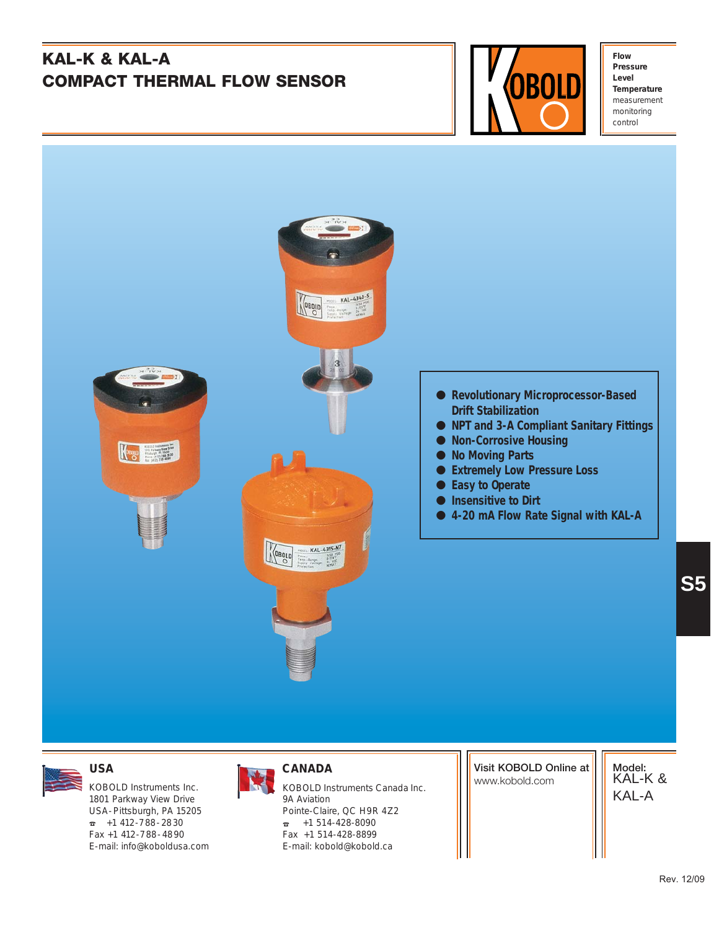# **KAL-K & KAL-A COMPACT THERMAL FLOW SENSOR**



**Flow Pressure Level Temperature** measurement monitoring control



1801 Parkway View Drive USA-Pittsburgh, PA 15205  $\overline{a}$  +1 412-788-2830 Fax +1 412-788-4890 E-mail: info@koboldusa.com



KOBOLD Instruments Inc. **KOBOLD Instruments Canada Inc.** Manusold.com 9A Aviation Pointe-Claire, QC H9R 4Z2  $\sqrt{25}$  +1 514-428-8090 Fax +1 514-428-8899 E-mail: kobold@kobold.ca

**Visit KOBOLD Online at**

**Model:** KAL-K & KAL-A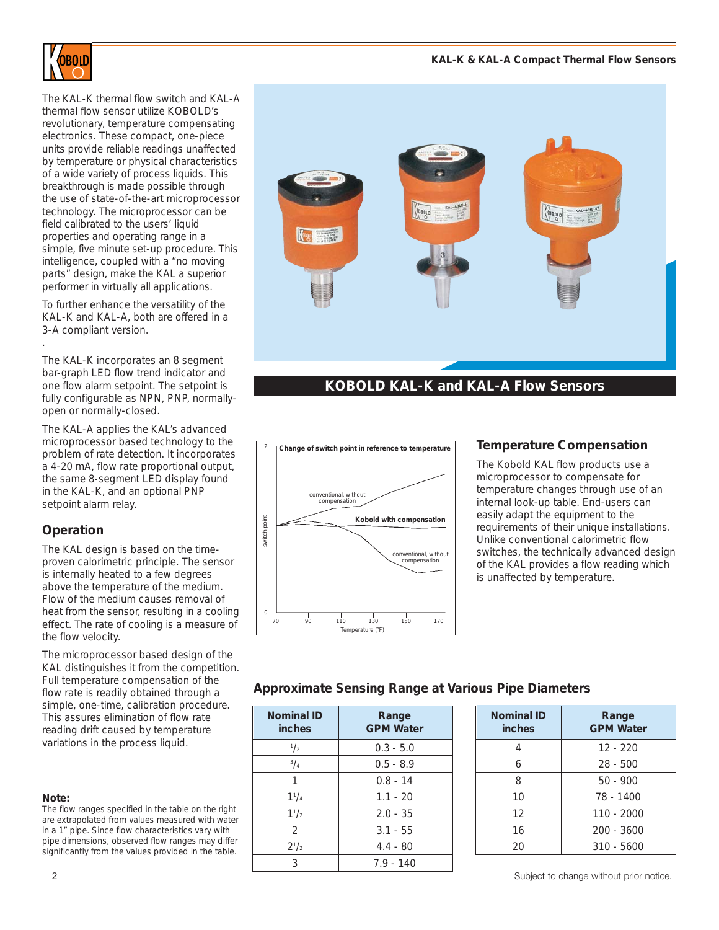

The KAL-K thermal flow switch and KAL-A thermal flow sensor utilize KOBOLD's revolutionary, temperature compensating electronics. These compact, one-piece units provide reliable readings unaffected by temperature or physical characteristics of a wide variety of process liquids. This breakthrough is made possible through the use of state-of-the-art microprocessor technology. The microprocessor can be field calibrated to the users' liquid properties and operating range in a simple, five minute set-up procedure. This intelligence, coupled with a "no moving parts" design, make the KAL a superior performer in virtually all applications.

To further enhance the versatility of the KAL-K and KAL-A, both are offered in a 3-A compliant version.

The KAL-K incorporates an 8 segment bar-graph LED flow trend indicator and one flow alarm setpoint. The setpoint is fully configurable as NPN, PNP, normallyopen or normally-closed.

The KAL-A applies the KAL's advanced microprocessor based technology to the problem of rate detection. It incorporates a 4-20 mA, flow rate proportional output, the same 8-segment LED display found in the KAL-K, and an optional PNP setpoint alarm relay.

# **Operation**

.

The KAL design is based on the timeproven calorimetric principle. The sensor is internally heated to a few degrees above the temperature of the medium. Flow of the medium causes removal of heat from the sensor, resulting in a cooling effect. The rate of cooling is a measure of the flow velocity.

The microprocessor based design of the KAL distinguishes it from the competition. Full temperature compensation of the flow rate is readily obtained through a simple, one-time, calibration procedure. This assures elimination of flow rate reading drift caused by temperature variations in the process liquid.

#### **Note:**

The flow ranges specified in the table on the right are extrapolated from values measured with water in a 1" pipe. Since flow characteristics vary with pipe dimensions, observed flow ranges may differ significantly from the values provided in the table.



# **KOBOLD KAL-K and KAL-A Flow Sensors**



### **Temperature Compensation**

The Kobold KAL flow products use a microprocessor to compensate for temperature changes through use of an internal look-up table. End-users can easily adapt the equipment to the requirements of their unique installations. Unlike conventional calorimetric flow switches, the technically advanced design of the KAL provides a flow reading which is unaffected by temperature.

### **Approximate Sensing Range at Various Pipe Diameters**

| <b>Nominal ID</b><br>inches | Range<br><b>GPM Water</b> |  |
|-----------------------------|---------------------------|--|
| $\frac{1}{2}$               | $0.3 - 5.0$               |  |
| 3/4                         | $0.5 - 8.9$               |  |
| 1                           | $0.8 - 14$                |  |
| $1^{1}/_{4}$                | $1.1 - 20$                |  |
| $1^{1/2}$                   | $2.0 - 35$                |  |
| 2                           | $3.1 - 55$                |  |
| $2^{1/2}$                   | $4.4 - 80$                |  |
| 3                           | $7.9 - 140$               |  |

| Nominal ID<br>inches | Range<br><b>GPM Water</b> |
|----------------------|---------------------------|
| 4                    | $12 - 220$                |
| 6                    | $28 - 500$                |
| 8                    | $50 - 900$                |
| 10                   | 78 - 1400                 |
| 12                   | $110 - 2000$              |
| 16                   | $200 - 3600$              |
| 20                   | $310 - 5600$              |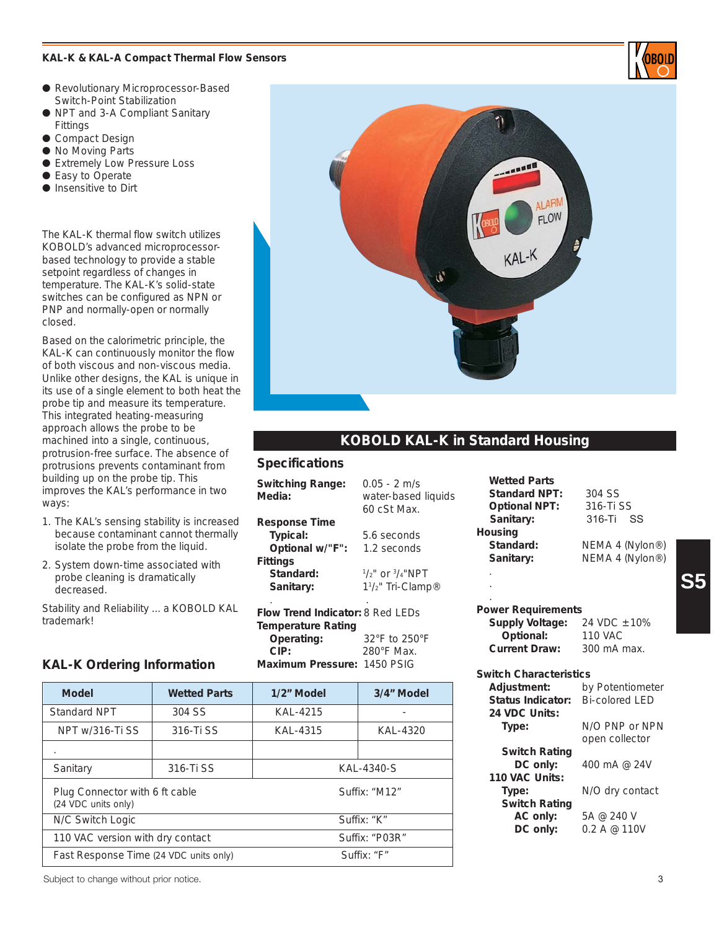#### **KAL-K & KAL-A Compact Thermal Flow Sensors**

- Revolutionary Microprocessor-Based Switch-Point Stabilization
- NPT and 3-A Compliant Sanitary Fittings
- Compact Design
- No Moving Parts
- Extremely Low Pressure Loss
- Easy to Operate
- Insensitive to Dirt

The KAL-K thermal flow switch utilizes KOBOLD's advanced microprocessorbased technology to provide a stable setpoint regardless of changes in temperature. The KAL-K's solid-state switches can be configured as NPN or PNP and normally-open or normally closed.

Based on the calorimetric principle, the KAL-K can continuously monitor the flow of both viscous and non-viscous media. Unlike other designs, the KAL is unique in its use of a single element to both heat the probe tip and measure its temperature. This integrated heating-measuring approach allows the probe to be machined into a single, continuous, protrusion-free surface. The absence of protrusions prevents contaminant from building up on the probe tip. This improves the KAL's performance in two ways:

- 1. The KAL's sensing stability is increased because contaminant cannot thermally isolate the probe from the liquid.
- 2. System down-time associated with probe cleaning is dramatically decreased.

Stability and Reliability ... a KOBOLD KAL trademark!

#### **KAL-K Ordering Information**

| <b>Model</b>                                          | <b>Wetted Parts</b> | 1/2" Model    | 3/4" Model     |
|-------------------------------------------------------|---------------------|---------------|----------------|
| Standard NPT                                          | 304 SS              | KAL-4215      |                |
| NPT w/316-Ti SS                                       | 316-Ti SS           | KAL-4315      | KAL-4320       |
| $\cdot$                                               |                     |               |                |
| Sanitary                                              | 316-Ti SS           | KAL-4340-S    |                |
| Plug Connector with 6 ft cable<br>(24 VDC units only) |                     | Suffix: "M12" |                |
| N/C Switch Logic                                      |                     | Suffix: "K"   |                |
| 110 VAC version with dry contact                      |                     |               | Suffix: "P03R" |
| Fast Response Time (24 VDC units only)                |                     |               | Suffix: "F"    |



# **KOBOLD KAL-K in Standard Housing**

#### **Specifications**

**Switching Range:** 0.05 - 2 m/s **Media:** water-based liquids 60 cSt Max. **Response Time Typical:** 5.6 seconds **Optional w/"F":** 1.2 seconds **Fittings** Standard:  $1/2$ " or  $3/4$ "NPT **Sanitary:** /2" Tri-Clamp® . .

**Flow Trend Indicator:** 8 Red LEDs **Temperature Rating Operati** CIP: **Maximum** 

| $32^{\circ}$ F to $250^{\circ}$ F |
|-----------------------------------|
| $280^\circ$ F Max.                |
| n Pressure: 1450 PSIG             |
|                                   |

**Wetted Parts Standard NPT:** 304 SS **Optional NPT:** 316-Ti SS **Sanitary:** 316-Ti SS **Housing Standard:** NEMA 4 (Nylon®) Sanitary: NEMA 4 (Nylon<sup>®)</sup> .

. .

#### **Power Requirements Supply Voltage:** 24 VDC  $\pm$  10% **Optional:** 110 VAC **Current Draw:** 300 mA max.

#### **Switch Characteristics**

| by Potentiometer      |  |
|-----------------------|--|
| <b>Bi-colored LED</b> |  |
|                       |  |
| N/O PNP or NPN        |  |
| open collector        |  |
|                       |  |
| 400 mA @ 24V          |  |
|                       |  |
| N/O dry contact       |  |
|                       |  |
| 5A @ 240 V            |  |
| 0.2 A @ 110V          |  |
|                       |  |

Subject to change without prior notice. 33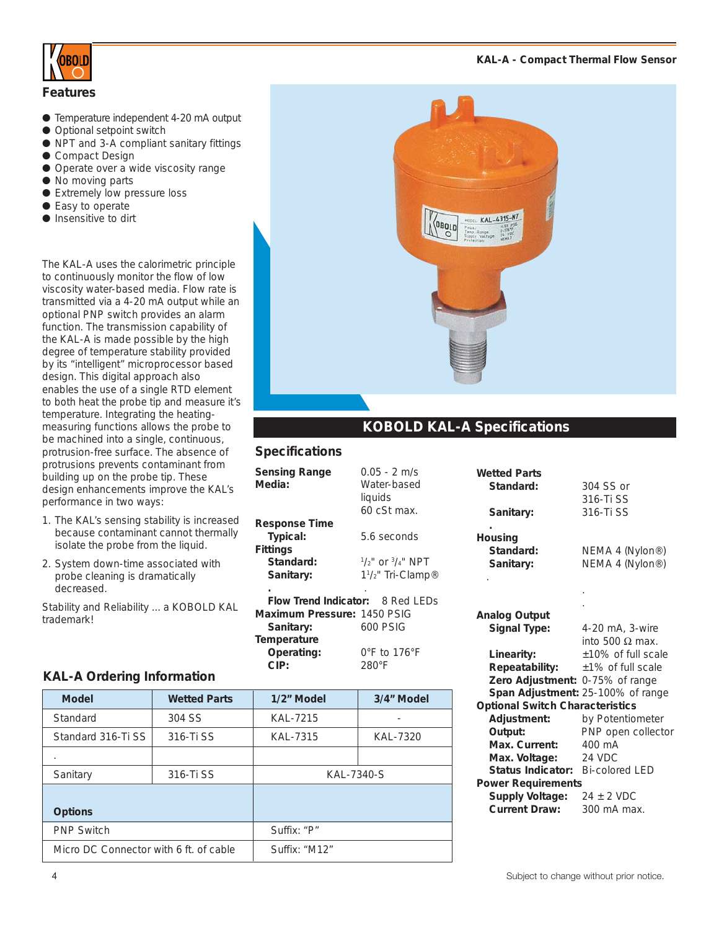

#### **Features**

- Temperature independent 4-20 mA output
- Optional setpoint switch
- NPT and 3-A compliant sanitary fittings
- Compact Design
- Operate over a wide viscosity range
- No moving parts
- Extremely low pressure loss
- Easy to operate
- Insensitive to dirt

The KAL-A uses the calorimetric principle to continuously monitor the flow of low viscosity water-based media. Flow rate is transmitted via a 4-20 mA output while an optional PNP switch provides an alarm function. The transmission capability of the KAL-A is made possible by the high degree of temperature stability provided by its "intelligent" microprocessor based design. This digital approach also enables the use of a single RTD element to both heat the probe tip and measure it's temperature. Integrating the heatingmeasuring functions allows the probe to be machined into a single, continuous, protrusion-free surface. The absence of protrusions prevents contaminant from building up on the probe tip. These design enhancements improve the KAL's performance in two ways:

- 1. The KAL's sensing stability is increased because contaminant cannot thermally isolate the probe from the liquid.
- 2. System down-time associated with probe cleaning is dramatically decreased.

Stability and Reliability ... a KOBOLD KAL trademark!

| $\substack{\frac{\mu_{\text{DOLL}}}{\mu_{\text{max}}}}{\frac{\mu_{\text{max}}}{\sum\limits_{\substack{1\leq n \leq p \\ \text{Supp.}\; \text{gauge} \\ 3\leq np \leq p \\ \text{Supp.}\; \text{vectors}}} \frac{\mu_{\text{S1}}\pi_{\text{S2}}\pi_{\text{S}}\pi_{\text{S}}}{\frac{\mu_{\text{S1}}\pi_{\text{S2}}\pi_{\text{S2}}}{\lambda_{\text{S2}}\sqrt{n}}}$<br>OBOLD |  |
|--------------------------------------------------------------------------------------------------------------------------------------------------------------------------------------------------------------------------------------------------------------------------------------------------------------------------------------------------------------------------|--|
|                                                                                                                                                                                                                                                                                                                                                                          |  |

# **KOBOLD KAL-A Specifications**

**Wetted Parts**

## **Specifications**

| <b>Sensing Range</b><br>Media:          | $0.05 - 2$ m/s<br>Water-based<br>liquids<br>$60$ $c$ St max. |
|-----------------------------------------|--------------------------------------------------------------|
| <b>Response Time</b>                    |                                                              |
| Typical:                                | 5.6 seconds                                                  |
| <b>Fittings</b>                         |                                                              |
| Standard <sup>.</sup>                   | $1/2$ " or $3/4$ " NPT                                       |
| Sanitary:                               | 1 <sup>1</sup> / <sub>2</sub> " Tri-Clamp <sup>®</sup>       |
|                                         |                                                              |
| <b>Flow Trend Indicator: 8 Red LEDs</b> |                                                              |
| Maximum Pressure: 1450 PSIG             |                                                              |
| Sanitary:                               | 600 PSIG                                                     |
| Temperature                             |                                                              |
| Operating:                              | $0^\circ$ F to 176°F                                         |
| CIP:                                    | $280^\circ F$                                                |
|                                         |                                                              |

|                                        | 316-Ti SS                         |  |
|----------------------------------------|-----------------------------------|--|
| Sanitary:                              | 316-Ti SS                         |  |
| Housing                                |                                   |  |
| Standard:                              | NEMA 4 (Nylon®)                   |  |
| Sanitary:                              | NEMA 4 (Nylon®)                   |  |
|                                        |                                   |  |
|                                        |                                   |  |
|                                        |                                   |  |
| <b>Analog Output</b>                   |                                   |  |
| <b>Signal Type:</b>                    | 4-20 mA, 3-wire                   |  |
|                                        | into 500 $\Omega$ max.            |  |
| Linearity:                             | ±10% of full scale                |  |
| Repeatability:                         | $±1\%$ of full scale              |  |
| Zero Adjustment:                       | 0-75% of range                    |  |
|                                        | Span Adjustment: 25-100% of range |  |
| <b>Optional Switch Characteristics</b> |                                   |  |
| Adjustment:                            | by Potentiometer                  |  |
| Output:                                | PNP open collector                |  |
| Max. Current:                          | 400 mA                            |  |
| Max. Voltage:                          | 24 VDC                            |  |
| Status Indicator:                      | <b>Bi-colored LED</b>             |  |
| <b>Power Requirements</b>              |                                   |  |
| <b>Supply Voltage:</b>                 | $24 \pm 2$ VDC                    |  |
| <b>Current Draw:</b>                   | 300 mA max.                       |  |
|                                        |                                   |  |

**Standard:** 304 SS or

# **KAL-A Ordering Information**

| <b>Model</b>                           | <b>Wetted Parts</b> | 1/2" Model    | 3/4" Model |
|----------------------------------------|---------------------|---------------|------------|
| Standard                               | 304 SS              | KAL-7215      |            |
| Standard 316-Ti SS                     | 316-Ti SS           | KAL-7315      | KAL-7320   |
|                                        |                     |               |            |
| Sanitary                               | 316-Ti SS           | KAL-7340-S    |            |
|                                        |                     |               |            |
| <b>Options</b>                         |                     |               |            |
| <b>PNP Switch</b>                      |                     | Suffix: "P"   |            |
| Micro DC Connector with 6 ft. of cable |                     | Suffix: "M12" |            |

### **KAL-A - Compact Thermal Flow Sensor**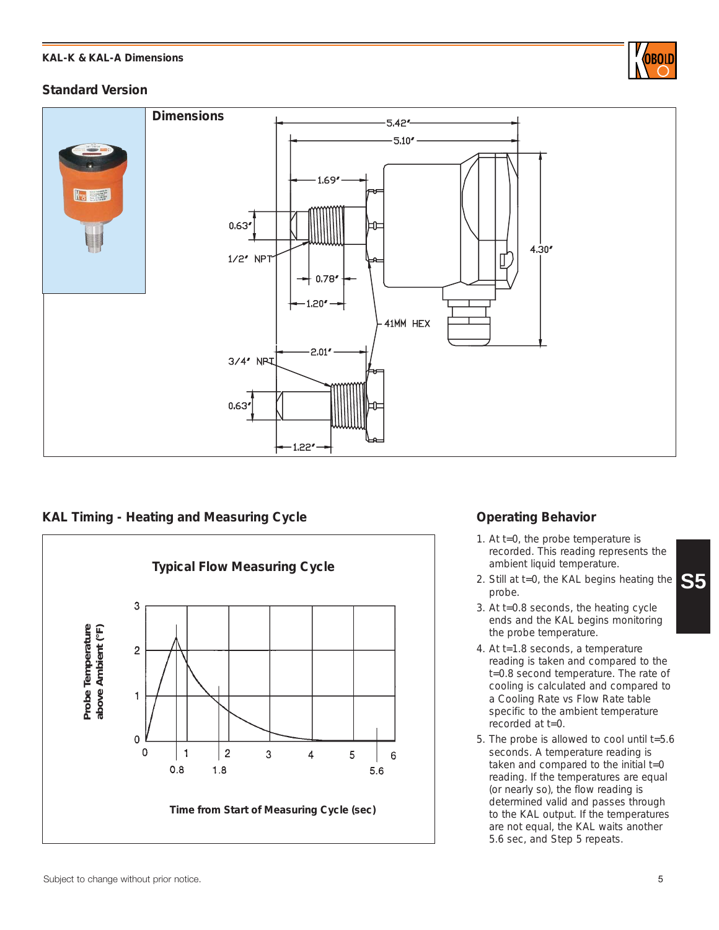#### **KAL-K & KAL-A Dimensions**



# **Standard Version**



**KAL Timing - Heating and Measuring Cycle Constrained Behavior Operating Behavior** 



- 1. At t=0, the probe temperature is recorded. This reading represents the ambient liquid temperature.
- **S5** 2. Still at t=0, the KAL begins heating the probe.
- 3. At t=0.8 seconds, the heating cycle ends and the KAL begins monitoring the probe temperature.
- 4. At t=1.8 seconds, a temperature reading is taken and compared to the t=0.8 second temperature. The rate of cooling is calculated and compared to a Cooling Rate vs Flow Rate table specific to the ambient temperature recorded at t=0.
- 5. The probe is allowed to cool until t=5.6 seconds. A temperature reading is taken and compared to the initial  $t=0$ reading. If the temperatures are equal (or nearly so), the flow reading is determined valid and passes through to the KAL output. If the temperatures are not equal, the KAL waits another 5.6 sec, and Step 5 repeats.